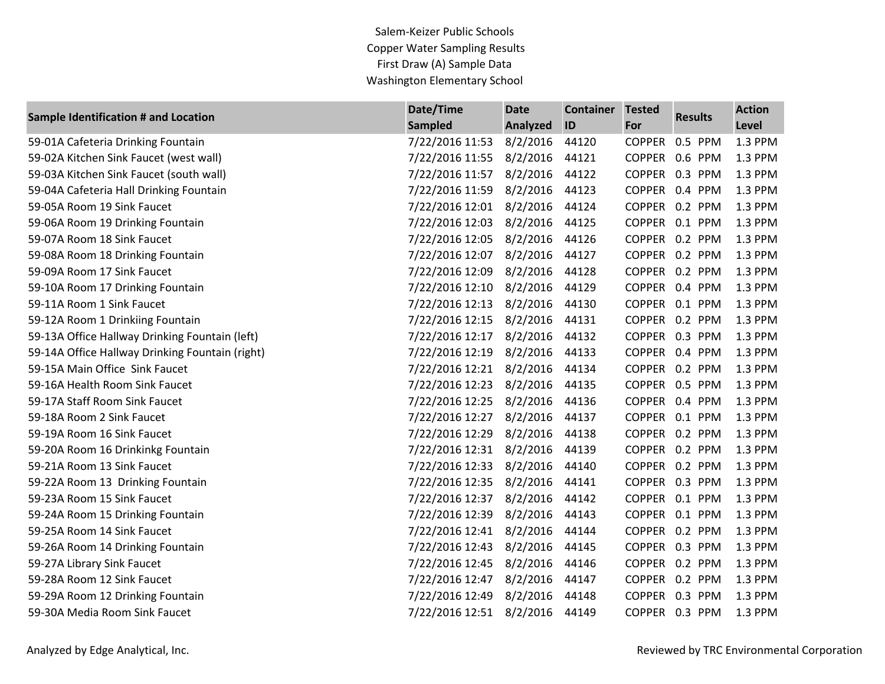Salem-Keizer Public Schools Copper Water Sampling Results First Draw (A) Sample Data Washington Elementary School

| Sample Identification # and Location            | Date/Time       | <b>Date</b>     | <b>Container</b> | <b>Tested</b> | <b>Results</b> | <b>Action</b> |
|-------------------------------------------------|-----------------|-----------------|------------------|---------------|----------------|---------------|
|                                                 | <b>Sampled</b>  | <b>Analyzed</b> | ID               | For           |                | Level         |
| 59-01A Cafeteria Drinking Fountain              | 7/22/2016 11:53 | 8/2/2016        | 44120            | <b>COPPER</b> | 0.5 PPM        | 1.3 PPM       |
| 59-02A Kitchen Sink Faucet (west wall)          | 7/22/2016 11:55 | 8/2/2016        | 44121            |               | COPPER 0.6 PPM | 1.3 PPM       |
| 59-03A Kitchen Sink Faucet (south wall)         | 7/22/2016 11:57 | 8/2/2016        | 44122            |               | COPPER 0.3 PPM | 1.3 PPM       |
| 59-04A Cafeteria Hall Drinking Fountain         | 7/22/2016 11:59 | 8/2/2016        | 44123            |               | COPPER 0.4 PPM | 1.3 PPM       |
| 59-05A Room 19 Sink Faucet                      | 7/22/2016 12:01 | 8/2/2016        | 44124            |               | COPPER 0.2 PPM | 1.3 PPM       |
| 59-06A Room 19 Drinking Fountain                | 7/22/2016 12:03 | 8/2/2016        | 44125            |               | COPPER 0.1 PPM | 1.3 PPM       |
| 59-07A Room 18 Sink Faucet                      | 7/22/2016 12:05 | 8/2/2016        | 44126            |               | COPPER 0.2 PPM | 1.3 PPM       |
| 59-08A Room 18 Drinking Fountain                | 7/22/2016 12:07 | 8/2/2016        | 44127            | <b>COPPER</b> | 0.2 PPM        | 1.3 PPM       |
| 59-09A Room 17 Sink Faucet                      | 7/22/2016 12:09 | 8/2/2016        | 44128            |               | COPPER 0.2 PPM | 1.3 PPM       |
| 59-10A Room 17 Drinking Fountain                | 7/22/2016 12:10 | 8/2/2016        | 44129            |               | COPPER 0.4 PPM | 1.3 PPM       |
| 59-11A Room 1 Sink Faucet                       | 7/22/2016 12:13 | 8/2/2016        | 44130            |               | COPPER 0.1 PPM | 1.3 PPM       |
| 59-12A Room 1 Drinkiing Fountain                | 7/22/2016 12:15 | 8/2/2016        | 44131            |               | COPPER 0.2 PPM | 1.3 PPM       |
| 59-13A Office Hallway Drinking Fountain (left)  | 7/22/2016 12:17 | 8/2/2016        | 44132            |               | COPPER 0.3 PPM | 1.3 PPM       |
| 59-14A Office Hallway Drinking Fountain (right) | 7/22/2016 12:19 | 8/2/2016        | 44133            |               | COPPER 0.4 PPM | 1.3 PPM       |
| 59-15A Main Office Sink Faucet                  | 7/22/2016 12:21 | 8/2/2016        | 44134            |               | COPPER 0.2 PPM | 1.3 PPM       |
| 59-16A Health Room Sink Faucet                  | 7/22/2016 12:23 | 8/2/2016        | 44135            |               | COPPER 0.5 PPM | 1.3 PPM       |
| 59-17A Staff Room Sink Faucet                   | 7/22/2016 12:25 | 8/2/2016        | 44136            |               | COPPER 0.4 PPM | 1.3 PPM       |
| 59-18A Room 2 Sink Faucet                       | 7/22/2016 12:27 | 8/2/2016        | 44137            |               | COPPER 0.1 PPM | 1.3 PPM       |
| 59-19A Room 16 Sink Faucet                      | 7/22/2016 12:29 | 8/2/2016        | 44138            |               | COPPER 0.2 PPM | 1.3 PPM       |
| 59-20A Room 16 Drinkinkg Fountain               | 7/22/2016 12:31 | 8/2/2016        | 44139            |               | COPPER 0.2 PPM | 1.3 PPM       |
| 59-21A Room 13 Sink Faucet                      | 7/22/2016 12:33 | 8/2/2016        | 44140            |               | COPPER 0.2 PPM | 1.3 PPM       |
| 59-22A Room 13 Drinking Fountain                | 7/22/2016 12:35 | 8/2/2016        | 44141            |               | COPPER 0.3 PPM | 1.3 PPM       |
| 59-23A Room 15 Sink Faucet                      | 7/22/2016 12:37 | 8/2/2016        | 44142            |               | COPPER 0.1 PPM | 1.3 PPM       |
| 59-24A Room 15 Drinking Fountain                | 7/22/2016 12:39 | 8/2/2016        | 44143            |               | COPPER 0.1 PPM | 1.3 PPM       |
| 59-25A Room 14 Sink Faucet                      | 7/22/2016 12:41 | 8/2/2016        | 44144            | <b>COPPER</b> | 0.2 PPM        | 1.3 PPM       |
| 59-26A Room 14 Drinking Fountain                | 7/22/2016 12:43 | 8/2/2016        | 44145            |               | COPPER 0.3 PPM | 1.3 PPM       |
| 59-27A Library Sink Faucet                      | 7/22/2016 12:45 | 8/2/2016        | 44146            |               | COPPER 0.2 PPM | 1.3 PPM       |
| 59-28A Room 12 Sink Faucet                      | 7/22/2016 12:47 | 8/2/2016        | 44147            |               | COPPER 0.2 PPM | 1.3 PPM       |
| 59-29A Room 12 Drinking Fountain                | 7/22/2016 12:49 | 8/2/2016        | 44148            |               | COPPER 0.3 PPM | 1.3 PPM       |
| 59-30A Media Room Sink Faucet                   | 7/22/2016 12:51 | 8/2/2016        | 44149            |               | COPPER 0.3 PPM | 1.3 PPM       |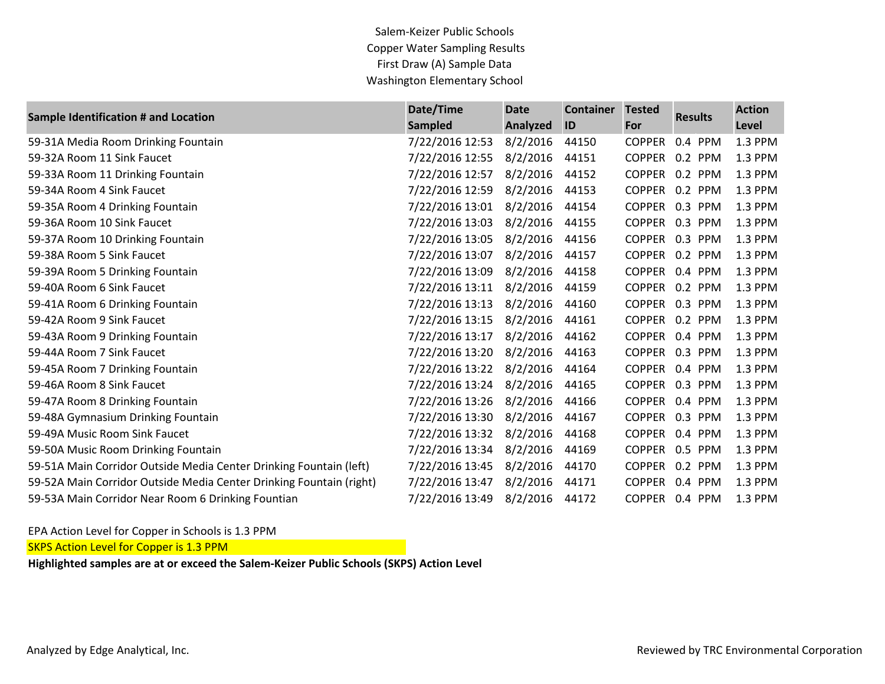Salem-Keizer Public Schools Copper Water Sampling Results First Draw (A) Sample Data Washington Elementary School

| Sample Identification # and Location                                | Date/Time       | <b>Date</b> | <b>Container</b> | <b>Tested</b> | <b>Results</b> | <b>Action</b> |
|---------------------------------------------------------------------|-----------------|-------------|------------------|---------------|----------------|---------------|
|                                                                     | <b>Sampled</b>  | Analyzed    | ID               | For           |                | Level         |
| 59-31A Media Room Drinking Fountain                                 | 7/22/2016 12:53 | 8/2/2016    | 44150            | <b>COPPER</b> | 0.4 PPM        | 1.3 PPM       |
| 59-32A Room 11 Sink Faucet                                          | 7/22/2016 12:55 | 8/2/2016    | 44151            | <b>COPPER</b> | 0.2 PPM        | 1.3 PPM       |
| 59-33A Room 11 Drinking Fountain                                    | 7/22/2016 12:57 | 8/2/2016    | 44152            |               | COPPER 0.2 PPM | 1.3 PPM       |
| 59-34A Room 4 Sink Faucet                                           | 7/22/2016 12:59 | 8/2/2016    | 44153            | <b>COPPER</b> | 0.2 PPM        | 1.3 PPM       |
| 59-35A Room 4 Drinking Fountain                                     | 7/22/2016 13:01 | 8/2/2016    | 44154            |               | COPPER 0.3 PPM | 1.3 PPM       |
| 59-36A Room 10 Sink Faucet                                          | 7/22/2016 13:03 | 8/2/2016    | 44155            | <b>COPPER</b> | 0.3 PPM        | 1.3 PPM       |
| 59-37A Room 10 Drinking Fountain                                    | 7/22/2016 13:05 | 8/2/2016    | 44156            |               | COPPER 0.3 PPM | 1.3 PPM       |
| 59-38A Room 5 Sink Faucet                                           | 7/22/2016 13:07 | 8/2/2016    | 44157            | <b>COPPER</b> | 0.2 PPM        | 1.3 PPM       |
| 59-39A Room 5 Drinking Fountain                                     | 7/22/2016 13:09 | 8/2/2016    | 44158            |               | COPPER 0.4 PPM | 1.3 PPM       |
| 59-40A Room 6 Sink Faucet                                           | 7/22/2016 13:11 | 8/2/2016    | 44159            |               | COPPER 0.2 PPM | 1.3 PPM       |
| 59-41A Room 6 Drinking Fountain                                     | 7/22/2016 13:13 | 8/2/2016    | 44160            |               | COPPER 0.3 PPM | 1.3 PPM       |
| 59-42A Room 9 Sink Faucet                                           | 7/22/2016 13:15 | 8/2/2016    | 44161            | <b>COPPER</b> | 0.2 PPM        | 1.3 PPM       |
| 59-43A Room 9 Drinking Fountain                                     | 7/22/2016 13:17 | 8/2/2016    | 44162            |               | COPPER 0.4 PPM | 1.3 PPM       |
| 59-44A Room 7 Sink Faucet                                           | 7/22/2016 13:20 | 8/2/2016    | 44163            |               | COPPER 0.3 PPM | 1.3 PPM       |
| 59-45A Room 7 Drinking Fountain                                     | 7/22/2016 13:22 | 8/2/2016    | 44164            |               | COPPER 0.4 PPM | 1.3 PPM       |
| 59-46A Room 8 Sink Faucet                                           | 7/22/2016 13:24 | 8/2/2016    | 44165            |               | COPPER 0.3 PPM | 1.3 PPM       |
| 59-47A Room 8 Drinking Fountain                                     | 7/22/2016 13:26 | 8/2/2016    | 44166            |               | COPPER 0.4 PPM | 1.3 PPM       |
| 59-48A Gymnasium Drinking Fountain                                  | 7/22/2016 13:30 | 8/2/2016    | 44167            |               | COPPER 0.3 PPM | 1.3 PPM       |
| 59-49A Music Room Sink Faucet                                       | 7/22/2016 13:32 | 8/2/2016    | 44168            |               | COPPER 0.4 PPM | 1.3 PPM       |
| 59-50A Music Room Drinking Fountain                                 | 7/22/2016 13:34 | 8/2/2016    | 44169            |               | COPPER 0.5 PPM | 1.3 PPM       |
| 59-51A Main Corridor Outside Media Center Drinking Fountain (left)  | 7/22/2016 13:45 | 8/2/2016    | 44170            | <b>COPPER</b> | 0.2 PPM        | 1.3 PPM       |
| 59-52A Main Corridor Outside Media Center Drinking Fountain (right) | 7/22/2016 13:47 | 8/2/2016    | 44171            | <b>COPPER</b> | 0.4 PPM        | 1.3 PPM       |
| 59-53A Main Corridor Near Room 6 Drinking Fountian                  | 7/22/2016 13:49 | 8/2/2016    | 44172            |               | COPPER 0.4 PPM | 1.3 PPM       |

EPA Action Level for Copper in Schools is 1.3 PPM

**SKPS Action Level for Copper is 1.3 PPM** 

**Highlighted samples are at or exceed the Salem-Keizer Public Schools (SKPS) Action Level**